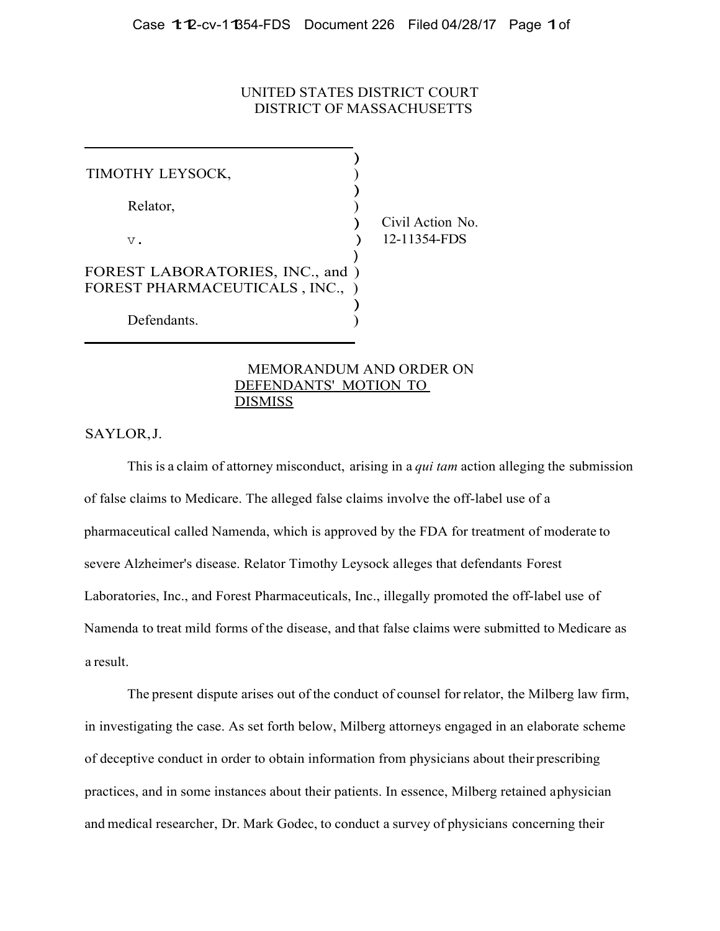# UNITED STATES DISTRICT COURT DISTRICT OF MASSACHUSETTS

| TIMOTHY LEYSOCK,                                                  |                                  |
|-------------------------------------------------------------------|----------------------------------|
| Relator,                                                          |                                  |
| $V$ .                                                             | Civil Action No.<br>12-11354-FDS |
| FOREST LABORATORIES, INC., and )<br>FOREST PHARMACEUTICALS, INC., |                                  |
| Defendants.                                                       |                                  |

# MEMORANDUM AND ORDER ON DEFENDANTS' MOTION TO **DISMISS**

SAYLOR, J.

This is a claim of attorney misconduct, arising in a *qui tam* action alleging the submission of false claims to Medicare. The alleged false claims involve the off-label use of a pharmaceutical called Namenda, which is approved by the FDA for treatment of moderate to severe Alzheimer's disease. Relator Timothy Leysock alleges that defendants Forest Laboratories, Inc., and Forest Pharmaceuticals, Inc., illegally promoted the off-label use of Namenda to treat mild forms of the disease, and that false claims were submitted to Medicare as a result.

The present dispute arises out of the conduct of counsel for relator, the Milberg law firm, in investigating the case. As set forth below, Milberg attorneys engaged in an elaborate scheme of deceptive conduct in order to obtain information from physicians about their prescribing practices, and in some instances about their patients. In essence, Milberg retained a physician and medical researcher, Dr. Mark Godec, to conduct a survey of physicians concerning their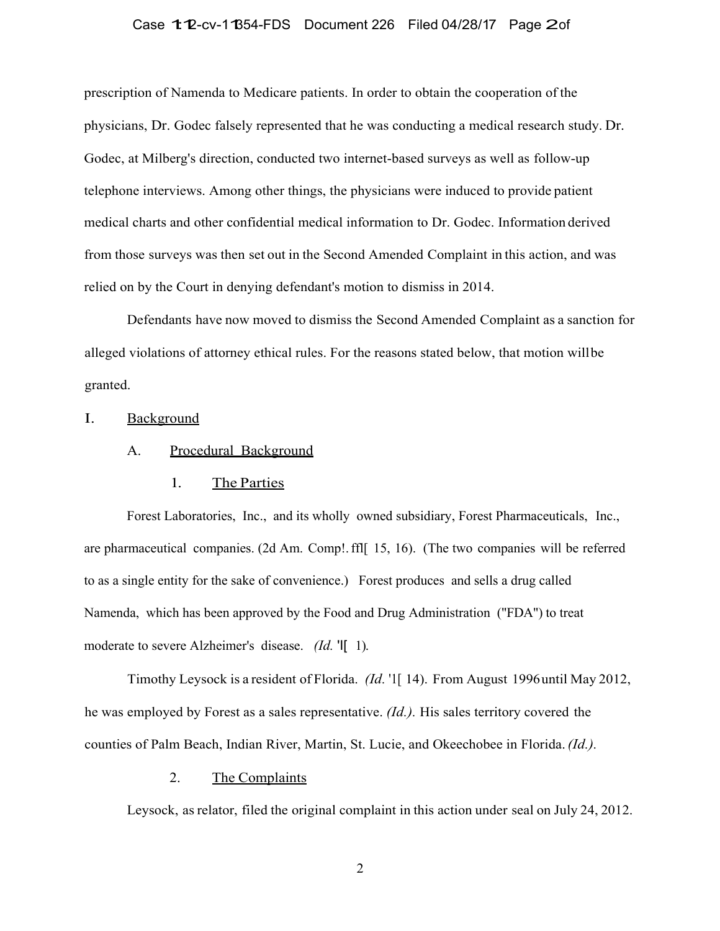# Case 1:12-cv-11354-FDS Document 226 Filed 04/28/17 Page 2of

prescription of Namenda to Medicare patients. In order to obtain the cooperation of the physicians, Dr. Godec falsely represented that he was conducting a medical research study. Dr. Godec, at Milberg's direction, conducted two internet-based surveys as well as follow-up telephone interviews. Among other things, the physicians were induced to provide patient medical charts and other confidential medical information to Dr. Godec. Information derived from those surveys was then set out in the Second Amended Complaint in this action, and was relied on by the Court in denying defendant's motion to dismiss in 2014.

Defendants have now moved to dismiss the Second Amended Complaint as a sanction for alleged violations of attorney ethical rules. For the reasons stated below, that motion will be granted.

#### I. Background

## A. Procedural Background

## 1. The Parties

Forest Laboratories, Inc., and its wholly owned subsidiary, Forest Pharmaceuticals, Inc., are pharmaceutical companies. (2d Am. Comp!. ffl[ 15, 16). (The two companies will be referred to as a single entity for the sake of convenience.) Forest produces and sells a drug called Namenda, which has been approved by the Food and Drug Administration ("FDA") to treat moderate to severe Alzheimer's disease. *(Id.* 'I[ 1).

Timothy Leysock is a resident of Florida. *(Id.* '1[ 14). From August 1996 until May 2012, he was employed by Forest as a sales representative. *(Id.).* His sales territory covered the counties of Palm Beach, Indian River, Martin, St. Lucie, and Okeechobee in Florida. *(Id.).*

# 2. The Complaints

Leysock, as relator, filed the original complaint in this action under seal on July 24, 2012.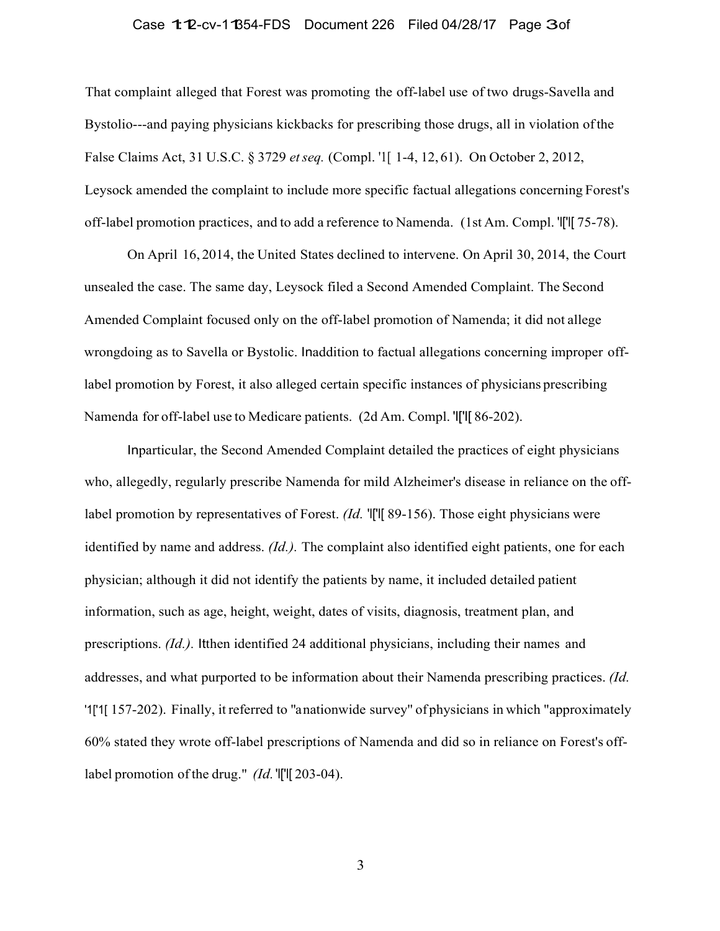### Case 1:12-cv-11354-FDS Document 226 Filed 04/28/17 Page 3of

That complaint alleged that Forest was promoting the off-label use of two drugs-Savella and Bystolio---and paying physicians kickbacks for prescribing those drugs, all in violation of the False Claims Act, 31 U.S.C. § 3729 *et seq.* (Compl. '1[ 1-4, 12, 61). On October 2, 2012, Leysock amended the complaint to include more specific factual allegations concerning Forest's off-label promotion practices, and to add a reference to Namenda. (1st Am. Compl. 'l['l[ 75-78).

On April 16, 2014, the United States declined to intervene. On April 30, 2014, the Court unsealed the case. The same day, Leysock filed a Second Amended Complaint. The Second Amended Complaint focused only on the off-label promotion of Namenda; it did not allege wrongdoing as to Savella or Bystolic. Inaddition to factual allegations concerning improper offlabel promotion by Forest, it also alleged certain specific instances of physicians prescribing Namenda for off-label use to Medicare patients. (2d Am. Compl. 'l['l[ 86-202).

Inparticular, the Second Amended Complaint detailed the practices of eight physicians who, allegedly, regularly prescribe Namenda for mild Alzheimer's disease in reliance on the offlabel promotion by representatives of Forest. *(Id.* 'I['l] 89-156). Those eight physicians were identified by name and address. *(Id.).* The complaint also identified eight patients, one for each physician; although it did not identify the patients by name, it included detailed patient information, such as age, height, weight, dates of visits, diagnosis, treatment plan, and prescriptions. *(Id.).* Itthen identified 24 additional physicians, including their names and addresses, and what purported to be information about their Namenda prescribing practices. *(Id.*  '1['1[ 157-202). Finally, it referred to "a nationwide survey'' of physicians in which "approximately 60% stated they wrote off-label prescriptions of Namenda and did so in reliance on Forest's offlabel promotion of the drug." *(Id.* 'l['l] 203-04).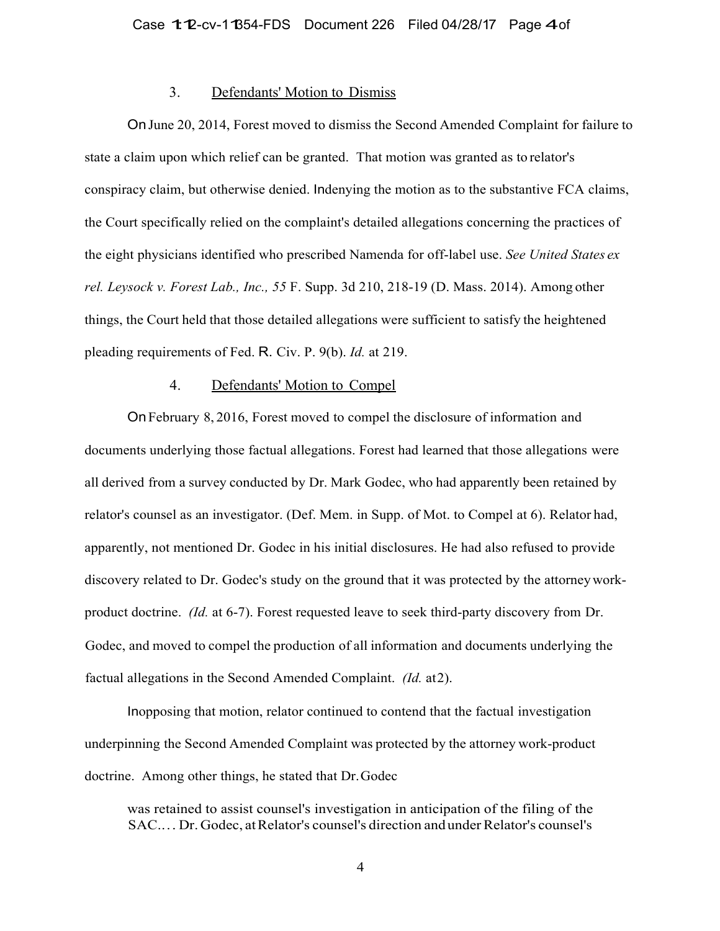## 3. Defendants' Motion to Dismiss

On June 20, 2014, Forest moved to dismiss the Second Amended Complaint for failure to state a claim upon which relief can be granted. That motion was granted as to relator's conspiracy claim, but otherwise denied. Indenying the motion as to the substantive FCA claims, the Court specifically relied on the complaint's detailed allegations concerning the practices of the eight physicians identified who prescribed Namenda for off-label use. *See United States ex rel. Leysock v. Forest Lab., Inc., 55* F. Supp. 3d 210, 218-19 (D. Mass. 2014). Among other things, the Court held that those detailed allegations were sufficient to satisfy the heightened pleading requirements of Fed. R. Civ. P. 9(b). *Id.* at 219.

## 4. Defendants' Motion to Compel

On February 8, 2016, Forest moved to compel the disclosure of information and documents underlying those factual allegations. Forest had learned that those allegations were all derived from a survey conducted by Dr. Mark Godec, who had apparently been retained by relator's counsel as an investigator. (Def. Mem. in Supp. of Mot. to Compel at 6). Relator had, apparently, not mentioned Dr. Godec in his initial disclosures. He had also refused to provide discovery related to Dr. Godec's study on the ground that it was protected by the attorney workproduct doctrine. *(Id.* at 6-7). Forest requested leave to seek third-party discovery from Dr. Godec, and moved to compel the production of all information and documents underlying the factual allegations in the Second Amended Complaint. *(Id.* at 2).

Inopposing that motion, relator continued to contend that the factual investigation underpinning the Second Amended Complaint was protected by the attorney work-product doctrine. Among other things, he stated that Dr. Godec

was retained to assist counsel's investigation in anticipation of the filing of the SAC.. . . Dr. Godec, at Relator's counsel's direction and under Relator's counsel's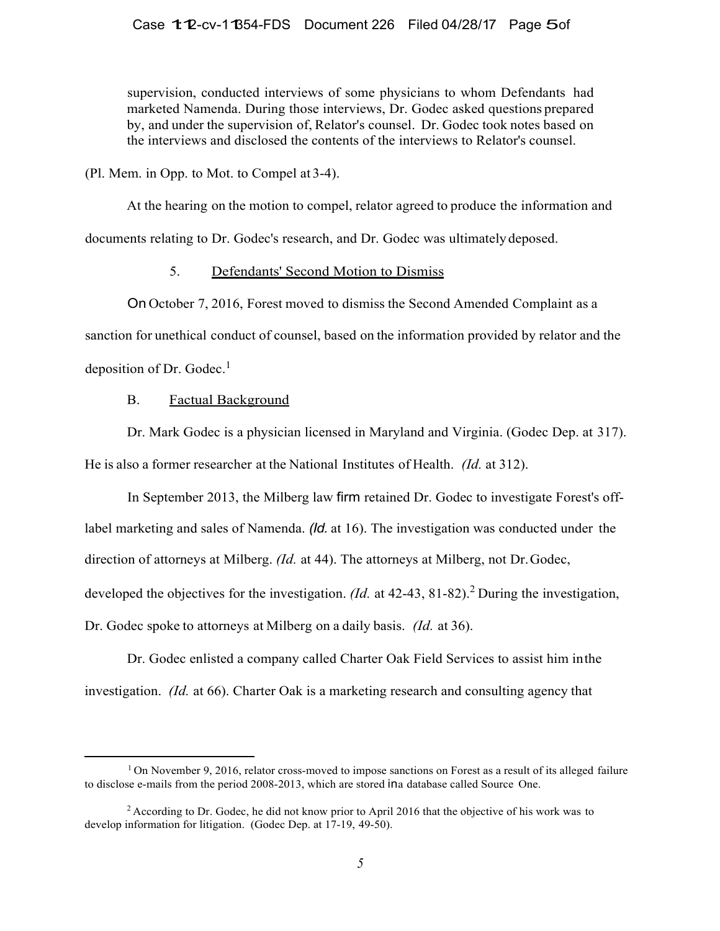## Case 1:12-cv-11354-FDS Document 226 Filed 04/28/17 Page 5of

supervision, conducted interviews of some physicians to whom Defendants had marketed Namenda. During those interviews, Dr. Godec asked questions prepared by, and under the supervision of, Relator's counsel. Dr. Godec took notes based on the interviews and disclosed the contents of the interviews to Relator's counsel.

(Pl. Mem. in Opp. to Mot. to Compel at 3-4).

At the hearing on the motion to compel, relator agreed to produce the information and documents relating to Dr. Godec's research, and Dr. Godec was ultimately deposed.

# 5. Defendants' Second Motion to Dismiss

On October 7, 2016, Forest moved to dismiss the Second Amended Complaint as a sanction for unethical conduct of counsel, based on the information provided by relator and the deposition of Dr. Godec. $<sup>1</sup>$ </sup>

## B. Factual Background

Dr. Mark Godec is a physician licensed in Maryland and Virginia. (Godec Dep. at 317). He is also a former researcher at the National Institutes of Health. *(Id.* at 312).

In September 2013, the Milberg law firm retained Dr. Godec to investigate Forest's offlabel marketing and sales of Namenda. *(Id.* at 16). The investigation was conducted under the direction of attorneys at Milberg. *(Id.* at 44). The attorneys at Milberg, not Dr. Godec, developed the objectives for the investigation. *(Id.* at 42-43, 81-82).<sup>2</sup> During the investigation, Dr. Godec spoke to attorneys at Milberg on a daily basis. *(Id.* at 36).

Dr. Godec enlisted a company called Charter Oak Field Services to assist him in the investigation. *(Id.* at 66). Charter Oak is a marketing research and consulting agency that

 $1$  On November 9, 2016, relator cross-moved to impose sanctions on Forest as a result of its alleged failure to disclose e-mails from the period 2008-2013, which are stored ina database called Source One.

<sup>&</sup>lt;sup>2</sup> According to Dr. Godec, he did not know prior to April 2016 that the objective of his work was to develop information for litigation. (Godec Dep. at 17-19, 49-50).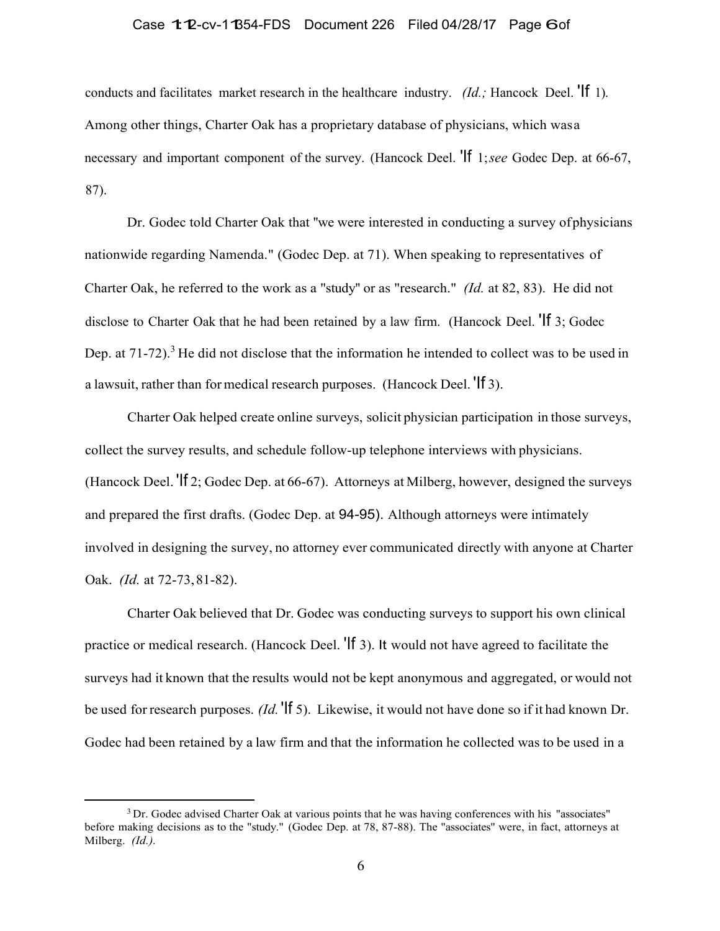### Case 1:12-cv-11354-FDS Document 226 Filed 04/28/17 Page 6of

conducts and facilitates market research in the healthcare industry. *(Id.;* Hancock Deel. 'If 1). Among other things, Charter Oak has a proprietary database of physicians, which was a necessary and important component of the survey. (Hancock Deel. 'If 1; *see* Godec Dep. at 66-67, 87).

Dr. Godec told Charter Oak that ''we were interested in conducting a survey of physicians nationwide regarding Namenda." (Godec Dep. at 71). When speaking to representatives of Charter Oak, he referred to the work as a "study'' or as "research." *(Id.* at 82, 83). He did not disclose to Charter Oak that he had been retained by a law firm. (Hancock Deel. <sup>'If</sup> 3; Godec Dep. at  $71-72$ ).<sup>3</sup> He did not disclose that the information he intended to collect was to be used in a lawsuit, rather than for medical research purposes. (Hancock Deel. 'If 3).

Charter Oak helped create online surveys, solicit physician participation in those surveys, collect the survey results, and schedule follow-up telephone interviews with physicians. (Hancock Deel. 'If 2; Godec Dep. at 66-67). Attorneys at Milberg, however, designed the surveys and prepared the first drafts. (Godec Dep. at 94-95). Although attorneys were intimately involved in designing the survey, no attorney ever communicated directly with anyone at Charter Oak. *(Id.* at 72-73, 81-82).

Charter Oak believed that Dr. Godec was conducting surveys to support his own clinical practice or medical research. (Hancock Deel. 'If 3). It would not have agreed to facilitate the surveys had it known that the results would not be kept anonymous and aggregated, or would not be used for research purposes. *(Id.* 'If 5). Likewise, it would not have done so if it had known Dr. Godec had been retained by a law firm and that the information he collected was to be used in a

<sup>&</sup>lt;sup>3</sup> Dr. Godec advised Charter Oak at various points that he was having conferences with his "associates" before making decisions as to the "study." (Godec Dep. at 78, 87-88). The "associates" were, in fact, attorneys at Milberg. *(Id.).*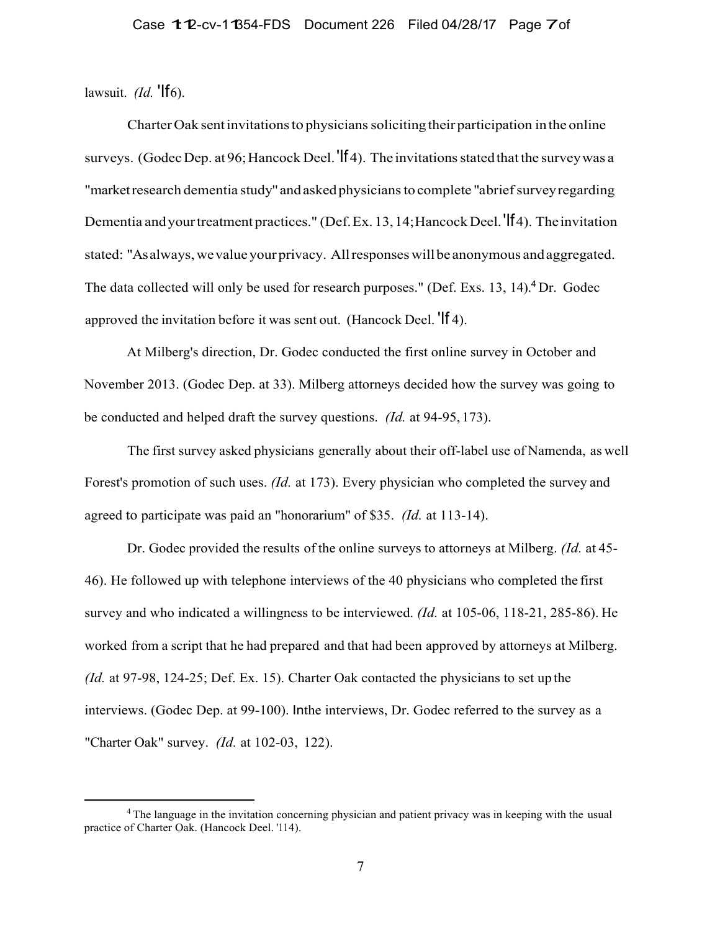lawsuit. *(Id.* **'If** 6).

Charter Oak sent invitations to physicians soliciting their participation in the online surveys. (Godec Dep. at 96; Hancock Deel. 'If 4). The invitations stated that the survey was a "market research dementia study'' and asked physicians to complete "a brief survey regarding Dementia and your treatment practices." (Def. Ex. 13, 14; Hancock Deel. 'If 4). The invitation stated: "As always, we value your privacy. All responses will be anonymous and aggregated. The data collected will only be used for research purposes." (Def. Exs. 13, 14).  ${}^{4}$ Dr. Godec approved the invitation before it was sent out. (Hancock Deel. 'If 4).

At Milberg's direction, Dr. Godec conducted the first online survey in October and November 2013. (Godec Dep. at 33). Milberg attorneys decided how the survey was going to be conducted and helped draft the survey questions. *(Id.* at 94-95, 173).

The first survey asked physicians generally about their off-label use of Namenda, as well Forest's promotion of such uses. *(Id.* at 173). Every physician who completed the survey and agreed to participate was paid an "honorarium" of \$35. *(Id.* at 113-14).

Dr. Godec provided the results of the online surveys to attorneys at Milberg. *(Id.* at 45- 46). He followed up with telephone interviews of the 40 physicians who completed the first survey and who indicated a willingness to be interviewed. *(Id.* at 105-06, 118-21, 285-86). He worked from a script that he had prepared and that had been approved by attorneys at Milberg. *(Id.* at 97-98, 124-25; Def. Ex. 15). Charter Oak contacted the physicians to set up the interviews. (Godec Dep. at 99-100). Inthe interviews, Dr. Godec referred to the survey as a "Charter Oak" survey. *(Id.* at 102-03, 122).

<sup>&</sup>lt;sup>4</sup> The language in the invitation concerning physician and patient privacy was in keeping with the usual practice of Charter Oak. (Hancock Deel. '114).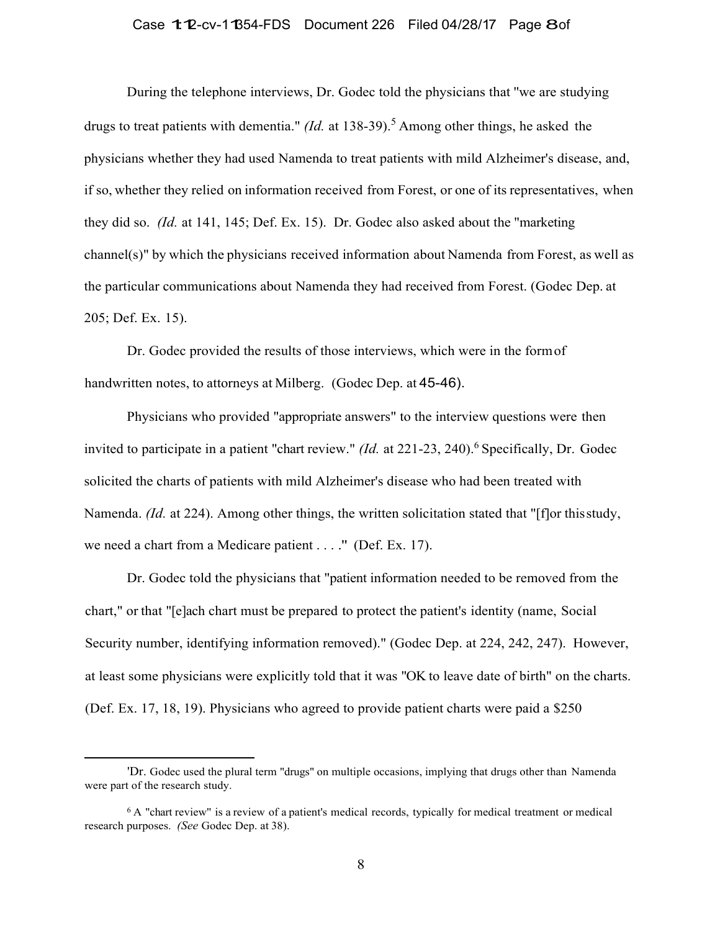### Case 1:12-cv-11354-FDS Document 226 Filed 04/28/17 Page 8of

During the telephone interviews, Dr. Godec told the physicians that ''we are studying drugs to treat patients with dementia." *(Id.* at 138-39).<sup>5</sup> Among other things, he asked the physicians whether they had used Namenda to treat patients with mild Alzheimer's disease, and, if so, whether they relied on information received from Forest, or one of its representatives, when they did so. *(Id.* at 141, 145; Def. Ex. 15). Dr. Godec also asked about the "marketing channel(s)" by which the physicians received information about Namenda from Forest, as well as the particular communications about Namenda they had received from Forest. (Godec Dep. at 205; Def. Ex. 15).

Dr. Godec provided the results of those interviews, which were in the form of handwritten notes, to attorneys at Milberg. (Godec Dep. at 45-46).

Physicians who provided "appropriate answers" to the interview questions were then invited to participate in a patient "chart review." *(Id.* at 221-23, 240).<sup>6</sup> Specifically, Dr. Godec solicited the charts of patients with mild Alzheimer's disease who had been treated with Namenda. *(Id.* at 224). Among other things, the written solicitation stated that "[f]or this study, we need a chart from a Medicare patient . . . ." (Def. Ex. 17).

Dr. Godec told the physicians that "patient information needed to be removed from the chart," or that "[e]ach chart must be prepared to protect the patient's identity (name, Social Security number, identifying information removed)." (Godec Dep. at 224, 242, 247). However, at least some physicians were explicitly told that it was "OK to leave date of birth" on the charts. (Def. Ex. 17, 18, 19). Physicians who agreed to provide patient charts were paid a \$250

<sup>&#</sup>x27;Dr. Godec used the plural term "drugs" on multiple occasions, implying that drugs other than Namenda were part of the research study.

<sup>6</sup> A "chart review'' is a review of a patient's medical records, typically for medical treatment or medical research purposes. *(See* Godec Dep. at 38).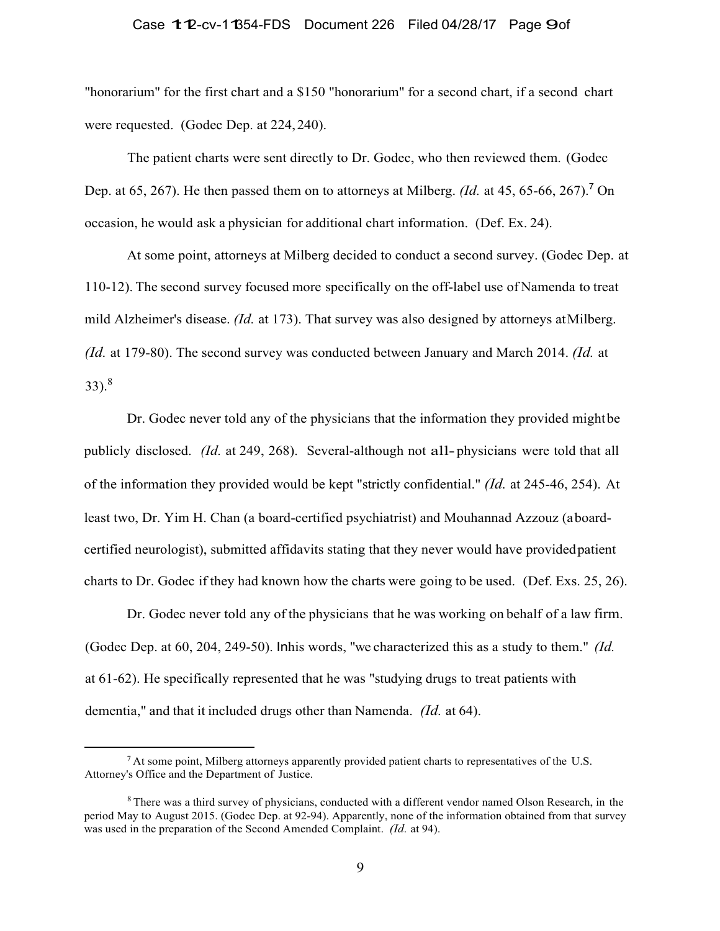# Case 1:12-cv-11354-FDS Document 226 Filed 04/28/17 Page 9of

"honorarium" for the first chart and a \$150 "honorarium" for a second chart, if a second chart were requested. (Godec Dep. at 224, 240).

The patient charts were sent directly to Dr. Godec, who then reviewed them. (Godec Dep. at 65, 267). He then passed them on to attorneys at Milberg. *(Id.* at 45, 65-66, 267).<sup>7</sup> On occasion, he would ask a physician for additional chart information. (Def. Ex. 24).

At some point, attorneys at Milberg decided to conduct a second survey. (Godec Dep. at 110-12). The second survey focused more specifically on the off-label use of Namenda to treat mild Alzheimer's disease. *(Id.* at 173). That survey was also designed by attorneys at Milberg. *(Id.* at 179-80). The second survey was conducted between January and March 2014. *(Id.* at  $33)$ .<sup>8</sup>

Dr. Godec never told any of the physicians that the information they provided might be publicly disclosed. *(Id.* at 249, 268). Several-although not all- physicians were told that all of the information they provided would be kept "strictly confidential." *(Id.* at 245-46, 254). At least two, Dr. Yim H. Chan (a board-certified psychiatrist) and Mouhannad Azzouz (a boardcertified neurologist), submitted affidavits stating that they never would have provided patient charts to Dr. Godec if they had known how the charts were going to be used. (Def. Exs. 25, 26).

Dr. Godec never told any of the physicians that he was working on behalf of a law firm. (Godec Dep. at 60, 204, 249-50). Inhis words, "we characterized this as a study to them." *(Id.* at 61-62). He specifically represented that he was "studying drugs to treat patients with dementia," and that it included drugs other than Namenda. *(Id.* at 64).

 $<sup>7</sup>$  At some point, Milberg attorneys apparently provided patient charts to representatives of the U.S.</sup> Attorney's Office and the Department of Justice.

<sup>&</sup>lt;sup>8</sup> There was a third survey of physicians, conducted with a different vendor named Olson Research, in the period May to August 2015. (Godec Dep. at 92-94). Apparently, none of the information obtained from that survey was used in the preparation of the Second Amended Complaint. *(Id.* at 94).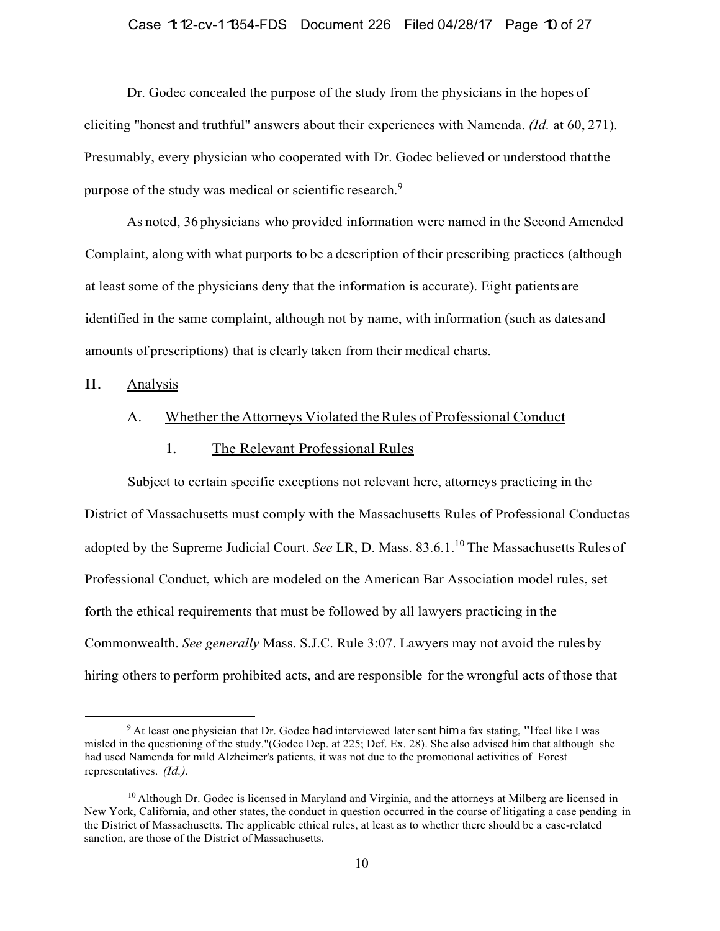### Case 1:12-cv-11354-FDS Document 226 Filed 04/28/17 Page 10 of 27

Dr. Godec concealed the purpose of the study from the physicians in the hopes of eliciting "honest and truthful" answers about their experiences with Namenda. *(Id.* at 60, 271). Presumably, every physician who cooperated with Dr. Godec believed or understood that the purpose of the study was medical or scientific research.<sup>9</sup>

As noted, 36 physicians who provided information were named in the Second Amended Complaint, along with what purports to be a description of their prescribing practices (although at least some of the physicians deny that the information is accurate). Eight patients are identified in the same complaint, although not by name, with information (such as dates and amounts of prescriptions) that is clearly taken from their medical charts.

# II. Analysis

# A. Whether the Attorneys Violated the Rules of Professional Conduct

# 1. The Relevant Professional Rules

Subject to certain specific exceptions not relevant here, attorneys practicing in the District of Massachusetts must comply with the Massachusetts Rules of Professional Conduct as adopted by the Supreme Judicial Court. *See LR*, D. Mass. 83.6.1.<sup>10</sup> The Massachusetts Rules of Professional Conduct, which are modeled on the American Bar Association model rules, set forth the ethical requirements that must be followed by all lawyers practicing in the Commonwealth. *See generally* Mass. S.J.C. Rule 3:07. Lawyers may not avoid the rules by hiring others to perform prohibited acts, and are responsible for the wrongful acts of those that

<sup>&</sup>lt;sup>9</sup> At least one physician that Dr. Godec had interviewed later sent him a fax stating, "I feel like I was misled in the questioning of the study."(Godec Dep. at 225; Def. Ex. 28). She also advised him that although she had used Namenda for mild Alzheimer's patients, it was not due to the promotional activities of Forest representatives. *(Id.).*

 $10$  Although Dr. Godec is licensed in Maryland and Virginia, and the attorneys at Milberg are licensed in New York, California, and other states, the conduct in question occurred in the course of litigating a case pending in the District of Massachusetts. The applicable ethical rules, at least as to whether there should be a case-related sanction, are those of the District of Massachusetts.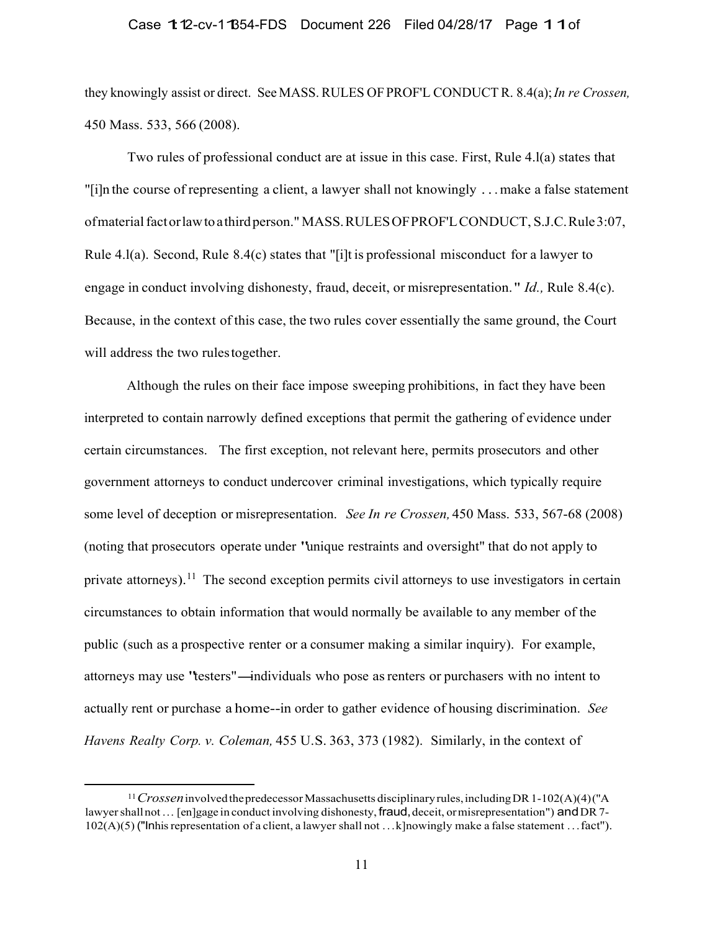# Case 1:12-cv-11854-FDS Document 226 Filed 04/28/17 Page 1 1 of

they knowingly assist or direct. See MASS. RULES OF PROF'L CONDUCT R. 8.4(a); *In re Crossen,* 450 Mass. 533, 566 (2008).

Two rules of professional conduct are at issue in this case. First, Rule 4.l(a) states that "[i]n the course of representing a client, a lawyer shall not knowingly . . . make a false statement of material fact or law to a third person." MASS. RULES OF PROF'L CONDUCT, S.J.C. Rule 3:07, Rule 4.l(a). Second, Rule 8.4(c) states that "[i]t is professional misconduct for a lawyer to engage in conduct involving dishonesty, fraud, deceit, or misrepresentation. " *Id.,* Rule 8.4(c). Because, in the context of this case, the two rules cover essentially the same ground, the Court will address the two rules together.

Although the rules on their face impose sweeping prohibitions, in fact they have been interpreted to contain narrowly defined exceptions that permit the gathering of evidence under certain circumstances. The first exception, not relevant here, permits prosecutors and other government attorneys to conduct undercover criminal investigations, which typically require some level of deception or misrepresentation. *See In re Crossen,* 450 Mass. 533, 567-68 (2008) (noting that prosecutors operate under "unique restraints and oversight" that do not apply to private attorneys).<sup>11</sup> The second exception permits civil attorneys to use investigators in certain circumstances to obtain information that would normally be available to any member of the public (such as a prospective renter or a consumer making a similar inquiry). For example, attorneys may use "testers"-individuals who pose asrenters or purchasers with no intent to actually rent or purchase a home--in order to gather evidence of housing discrimination. *See Havens Realty Corp. v. Coleman,* 455 U.S. 363, 373 (1982). Similarly, in the context of

<sup>11</sup>*Crossen* involved the predecessor Massachusetts disciplinary rules, including DR 1-102(A)(4) ("A lawyer shall not ... [en]gage in conduct involving dishonesty, fraud, deceit, or misrepresentation") and DR 7- $102(A)(5)$  ("Inhis representation of a client, a lawyer shall not ... k]nowingly make a false statement ... fact").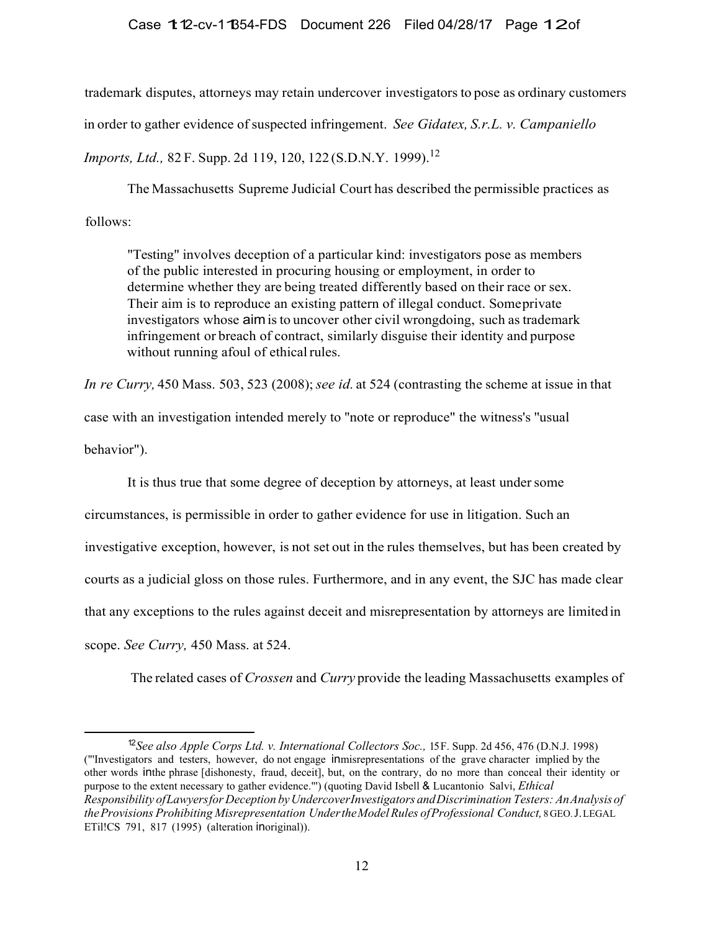## Case 1:12-cv-1:1354-FDS Document 226 Filed 04/28/17 Page 1:20f

trademark disputes, attorneys may retain undercover investigators to pose as ordinary customers in order to gather evidence of suspected infringement. *See Gidatex, S.r.L. v. Campaniello Imports, Ltd., 82 F. Supp. 2d 119, 120, 122 (S.D.N.Y. 1999).*<sup>12</sup>

The Massachusetts Supreme Judicial Court has described the permissible practices as follows:

"Testing" involves deception of a particular kind: investigators pose as members of the public interested in procuring housing or employment, in order to determine whether they are being treated differently based on their race or sex. Their aim is to reproduce an existing pattern of illegal conduct. Some private investigators whose aim is to uncover other civil wrongdoing, such as trademark infringement or breach of contract, similarly disguise their identity and purpose without running afoul of ethical rules.

*In re Curry,* 450 Mass. 503, 523 (2008); *see id.* at 524 (contrasting the scheme at issue in that

case with an investigation intended merely to ''note or reproduce" the witness's ''usual

behavior").

It is thus true that some degree of deception by attorneys, at least under some

circumstances, is permissible in order to gather evidence for use in litigation. Such an investigative exception, however, is not set out in the rules themselves, but has been created by courts as a judicial gloss on those rules. Furthermore, and in any event, the SJC has made clear that any exceptions to the rules against deceit and misrepresentation by attorneys are limited in scope. *See Curry,* 450 Mass. at 524.

The related cases of *Crossen* and *Curry* provide the leading Massachusetts examples of

<sup>12</sup>*See also Apple Corps Ltd. v. International Collectors Soc.,* 15 F. Supp. 2d 456, 476 (D.N.J. 1998) ("'Investigators and testers, however, do not engage inmisrepresentations of the grave character implied by the other words inthe phrase [dishonesty, fraud, deceit], but, on the contrary, do no more than conceal their identity or purpose to the extent necessary to gather evidence."') (quoting David Isbell & Lucantonio Salvi, *Ethical Responsibility of Lawyers for Deception by Undercover Investigators and Discrimination Testers: An Analysis of* the Provisions Prohibiting Misrepresentation Under the Model Rules of Professional Conduct, 8 GEO. J. LEGAL ETil!CS 791, 817 (1995) (alteration inoriginal)).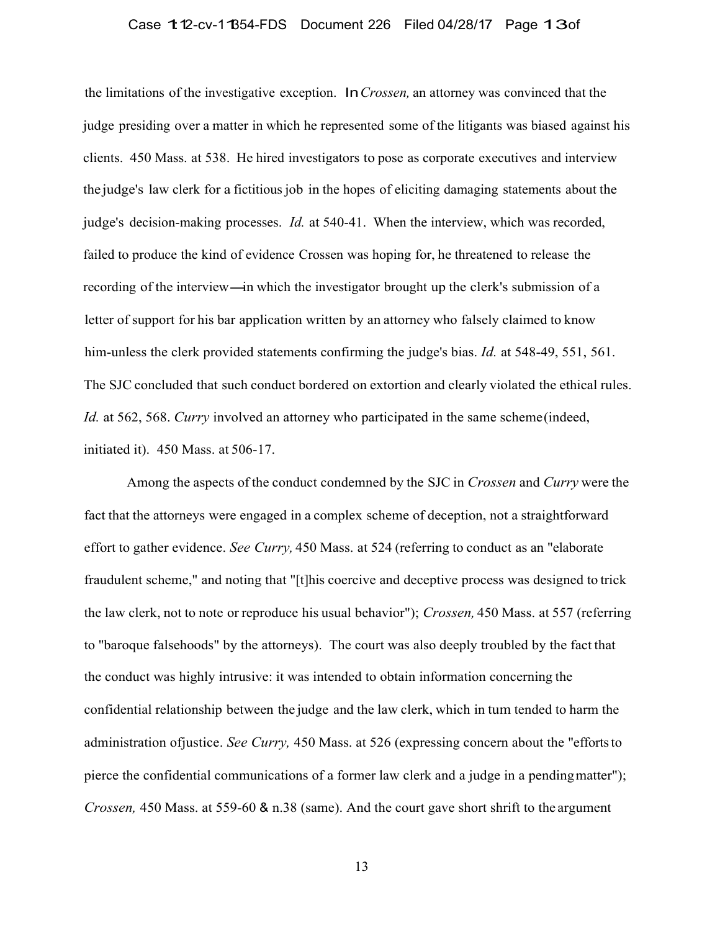# Case 1:12-cv-11854-FDS Document 226 Filed 04/28/17 Page 13of

the limitations of the investigative exception. In*Crossen,* an attorney was convinced that the judge presiding over a matter in which he represented some of the litigants was biased against his clients. 450 Mass. at 538. He hired investigators to pose as corporate executives and interview the judge's law clerk for a fictitious job in the hopes of eliciting damaging statements about the judge's decision-making processes. *Id.* at 540-41. When the interview, which was recorded, failed to produce the kind of evidence Crossen was hoping for, he threatened to release the recording of the interview—in which the investigator brought up the clerk's submission of a letter of support for his bar application written by an attorney who falsely claimed to know him-unless the clerk provided statements confirming the judge's bias. *Id.* at 548-49, 551, 561. The SJC concluded that such conduct bordered on extortion and clearly violated the ethical rules. *Id.* at 562, 568. *Curry* involved an attorney who participated in the same scheme (indeed, initiated it). 450 Mass. at 506-17.

Among the aspects of the conduct condemned by the SJC in *Crossen* and *Curry* were the fact that the attorneys were engaged in a complex scheme of deception, not a straightforward effort to gather evidence. *See Curry,* 450 Mass. at 524 (referring to conduct as an "elaborate fraudulent scheme," and noting that "[t]his coercive and deceptive process was designed to trick the law clerk, not to note or reproduce his usual behavior"); *Crossen,* 450 Mass. at 557 (referring to ''baroque falsehoods" by the attorneys). The court was also deeply troubled by the fact that the conduct was highly intrusive: it was intended to obtain information concerning the confidential relationship between the judge and the law clerk, which in tum tended to harm the administration ofjustice. *See Curry,* 450 Mass. at 526 (expressing concern about the "efforts to pierce the confidential communications of a former law clerk and a judge in a pending matter"); *Crossen,* 450 Mass. at 559-60 & n.38 (same). And the court gave short shrift to the argument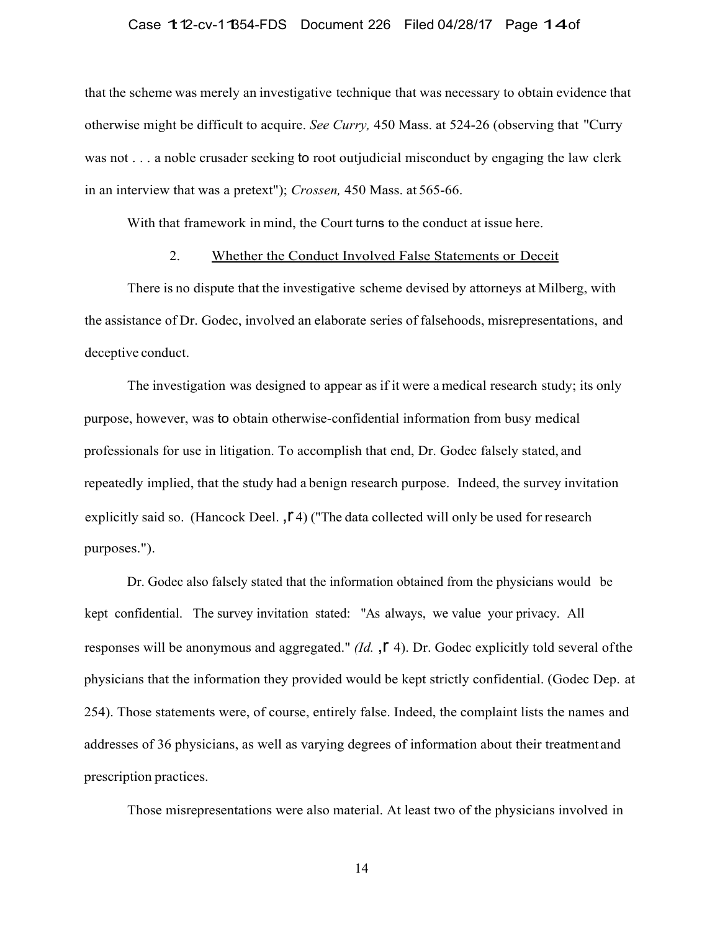## Case 1:12-cv-11854-FDS Document 226 Filed 04/28/17 Page 14of

that the scheme was merely an investigative technique that was necessary to obtain evidence that otherwise might be difficult to acquire. *See Curry,* 450 Mass. at 524-26 (observing that "Curry was not . . . a noble crusader seeking to root outjudicial misconduct by engaging the law clerk in an interview that was a pretext"); *Crossen,* 450 Mass. at 565-66.

With that framework in mind, the Court turns to the conduct at issue here.

## 2. Whether the Conduct Involved False Statements or Deceit

There is no dispute that the investigative scheme devised by attorneys at Milberg, with the assistance of Dr. Godec, involved an elaborate series of falsehoods, misrepresentations, and deceptive conduct.

The investigation was designed to appear as if it were a medical research study; its only purpose, however, was to obtain otherwise-confidential information from busy medical professionals for use in litigation. To accomplish that end, Dr. Godec falsely stated, and repeatedly implied, that the study had a benign research purpose. Indeed, the survey invitation explicitly said so. (Hancock Deel.  $,\Gamma$ 4) ("The data collected will only be used for research purposes.").

Dr. Godec also falsely stated that the information obtained from the physicians would be kept confidential. The survey invitation stated: "As always, we value your privacy. All responses will be anonymous and aggregated." *(Id.*  $\int$  4). Dr. Godec explicitly told several of the physicians that the information they provided would be kept strictly confidential. (Godec Dep. at 254). Those statements were, of course, entirely false. Indeed, the complaint lists the names and addresses of 36 physicians, as well as varying degrees of information about their treatment and prescription practices.

Those misrepresentations were also material. At least two of the physicians involved in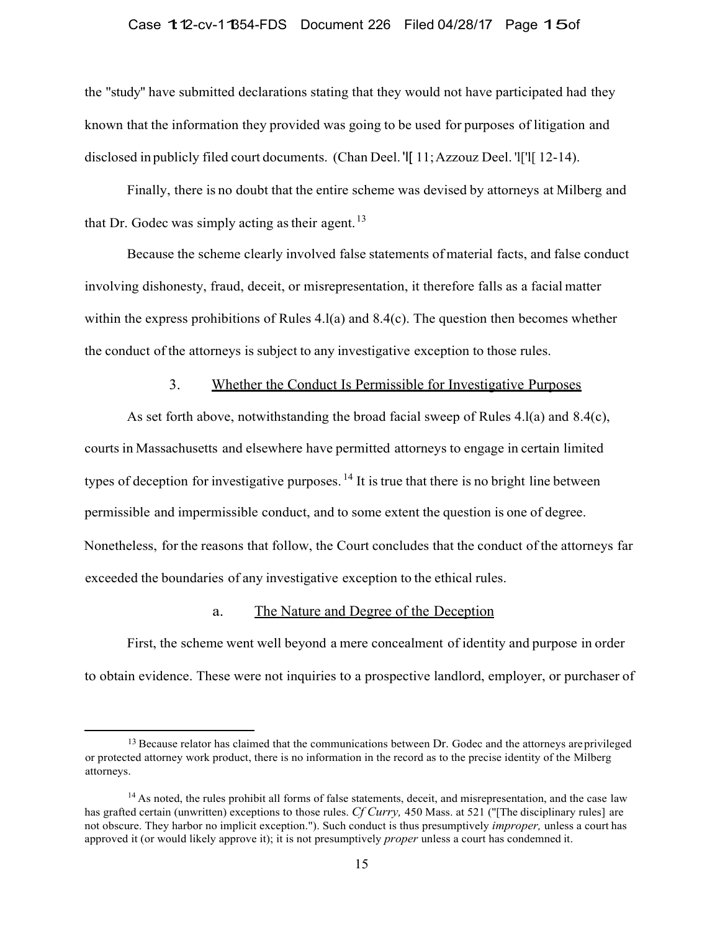#### Case 1:12-cv-11354-FDS Document 226 Filed 04/28/17 Page 15of

the "study'' have submitted declarations stating that they would not have participated had they known that the information they provided was going to be used for purposes of litigation and disclosed in publicly filed court documents. (Chan Deel. 'I[ 11; Azzouz Deel. 'l['l[ 12-14).

Finally, there is no doubt that the entire scheme was devised by attorneys at Milberg and that Dr. Godec was simply acting as their agent.  $13$ 

Because the scheme clearly involved false statements of material facts, and false conduct involving dishonesty, fraud, deceit, or misrepresentation, it therefore falls as a facial matter within the express prohibitions of Rules 4.l(a) and 8.4(c). The question then becomes whether the conduct of the attorneys is subject to any investigative exception to those rules.

## 3. Whether the Conduct Is Permissible for Investigative Purposes

As set forth above, notwithstanding the broad facial sweep of Rules 4.1(a) and 8.4(c), courts in Massachusetts and elsewhere have permitted attorneys to engage in certain limited types of deception for investigative purposes.  $^{14}$  It is true that there is no bright line between permissible and impermissible conduct, and to some extent the question is one of degree. Nonetheless, for the reasons that follow, the Court concludes that the conduct of the attorneys far exceeded the boundaries of any investigative exception to the ethical rules.

# a. The Nature and Degree of the Deception

First, the scheme went well beyond a mere concealment of identity and purpose in order to obtain evidence. These were not inquiries to a prospective landlord, employer, or purchaser of

<sup>&</sup>lt;sup>13</sup> Because relator has claimed that the communications between Dr. Godec and the attorneys are privileged or protected attorney work product, there is no information in the record as to the precise identity of the Milberg attorneys.

 $14$  As noted, the rules prohibit all forms of false statements, deceit, and misrepresentation, and the case law has grafted certain (unwritten) exceptions to those rules. *Cf Curry,* 450 Mass. at 521 ("[The disciplinary rules] are not obscure. They harbor no implicit exception."). Such conduct is thus presumptively *improper,* unless a court has approved it (or would likely approve it); it is not presumptively *proper* unless a court has condemned it.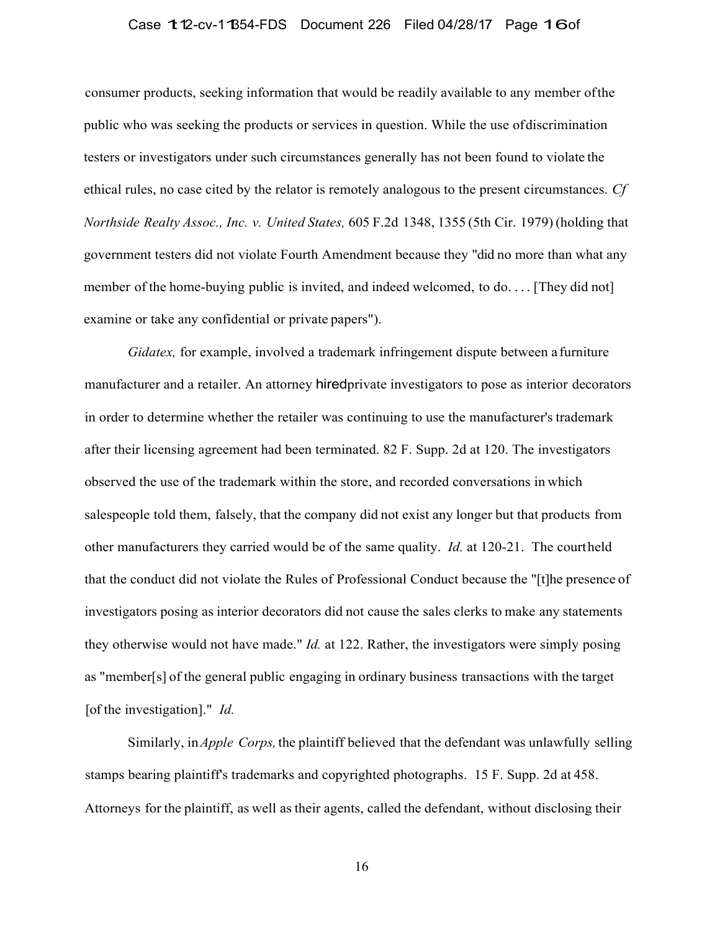# Case 1:12-cv-11854-FDS Document 226 Filed 04/28/17 Page 16of

consumer products, seeking information that would be readily available to any member of the public who was seeking the products or services in question. While the use of discrimination testers or investigators under such circumstances generally has not been found to violate the ethical rules, no case cited by the relator is remotely analogous to the present circumstances. *Cf Northside Realty Assoc., Inc. v. United States,* 605 F.2d 1348, 1355 (5th Cir. 1979) (holding that government testers did not violate Fourth Amendment because they "did no more than what any member of the home-buying public is invited, and indeed welcomed, to do.... [They did not] examine or take any confidential or private papers").

*Gidatex,* for example, involved a trademark infringement dispute between a furniture manufacturer and a retailer. An attorney hiredprivate investigators to pose as interior decorators in order to determine whether the retailer was continuing to use the manufacturer's trademark after their licensing agreement had been terminated. 82 F. Supp. 2d at 120. The investigators observed the use of the trademark within the store, and recorded conversations in which salespeople told them, falsely, that the company did not exist any longer but that products from other manufacturers they carried would be of the same quality. *Id.* at 120-21. The courtheld that the conduct did not violate the Rules of Professional Conduct because the "[t]he presence of investigators posing as interior decorators did not cause the sales clerks to make any statements they otherwise would not have made." *Id.* at 122. Rather, the investigators were simply posing as "member[s] of the general public engaging in ordinary business transactions with the target [of the investigation]." *Id.*

Similarly, in *Apple Corps,* the plaintiff believed that the defendant was unlawfully selling stamps bearing plaintiff's trademarks and copyrighted photographs. 15 F. Supp. 2d at 458. Attorneys for the plaintiff, as well as their agents, called the defendant, without disclosing their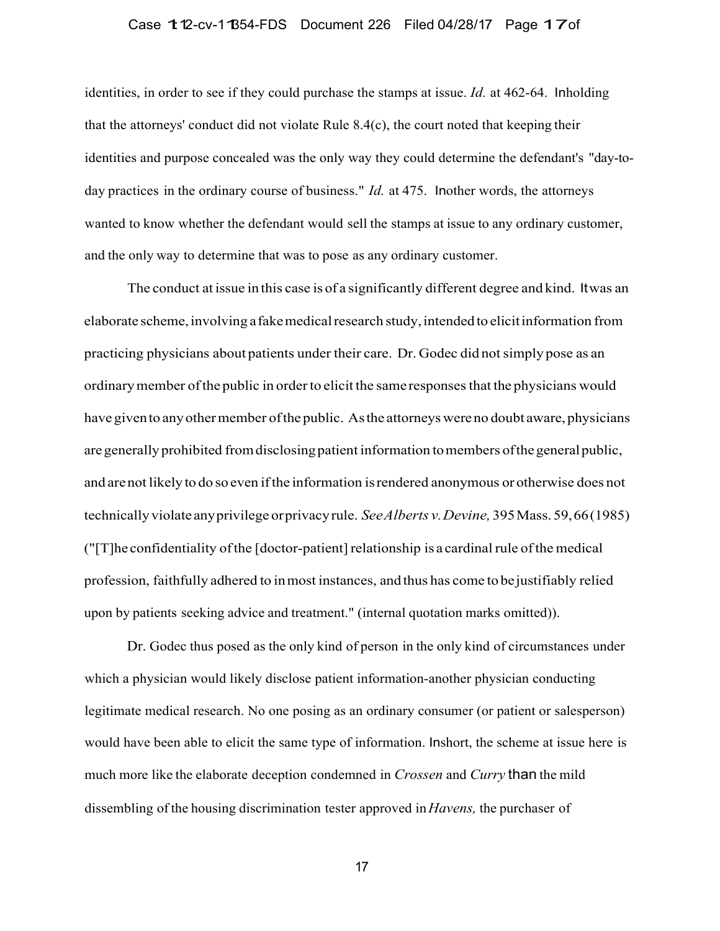# Case 1:12-cv-1:1354-FDS Document 226 Filed 04/28/17 Page 1:7 of

identities, in order to see if they could purchase the stamps at issue. *Id.* at 462-64. Inholding that the attorneys' conduct did not violate Rule 8.4(c), the court noted that keeping their identities and purpose concealed was the only way they could determine the defendant's "day-today practices in the ordinary course of business." *Id.* at 475. Inother words, the attorneys wanted to know whether the defendant would sell the stamps at issue to any ordinary customer, and the only way to determine that was to pose as any ordinary customer.

The conduct at issue in this case is of a significantly different degree and kind. It was an elaborate scheme, involving a fake medical research study, intended to elicit information from practicing physicians about patients under their care. Dr. Godec did not simply pose as an ordinary member of the public in order to elicit the same responses that the physicians would have given to any other member of the public. As the attorneys were no doubt aware, physicians are generally prohibited from disclosing patient information to members of the general public, and are not likely to do so even if the information is rendered anonymous or otherwise does not technically violate any privilege or privacy rule. *See Alberts v. Devine,* 395 Mass. 59, 66 (1985) ("[T]he confidentiality of the [doctor-patient] relationship is a cardinal rule of the medical profession, faithfully adhered to in most instances, and thus has come to be justifiably relied upon by patients seeking advice and treatment." (internal quotation marks omitted)).

Dr. Godec thus posed as the only kind of person in the only kind of circumstances under which a physician would likely disclose patient information-another physician conducting legitimate medical research. No one posing as an ordinary consumer (or patient or salesperson) would have been able to elicit the same type of information. Inshort, the scheme at issue here is much more like the elaborate deception condemned in *Crossen* and *Curry* than the mild dissembling of the housing discrimination tester approved in *Havens,* the purchaser of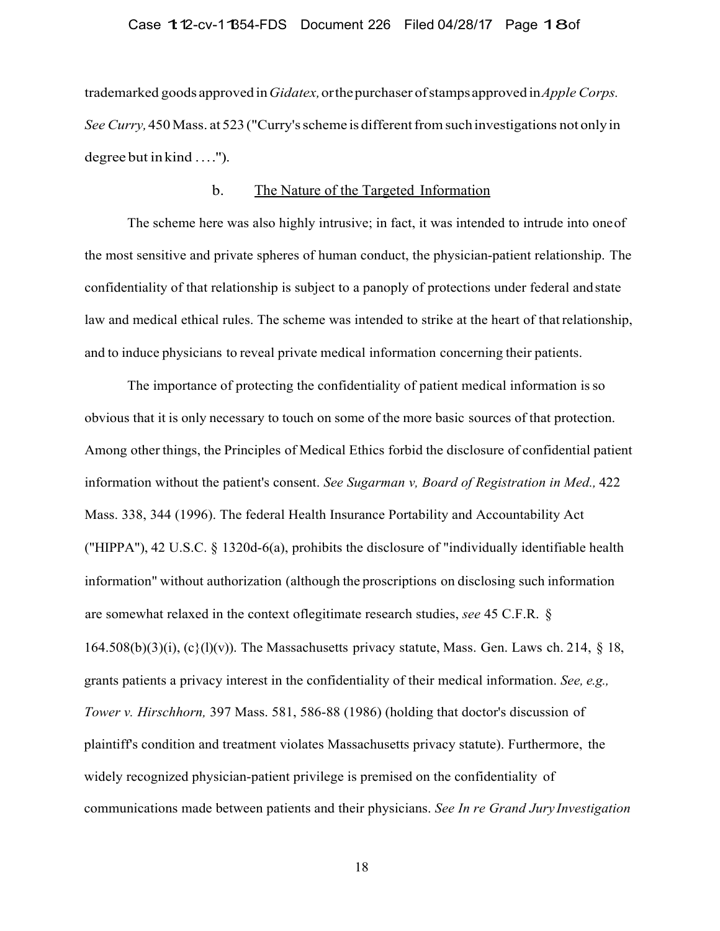### Case 1:12-cv-11854-FDS Document 226 Filed 04/28/17 Page 18of

trademarked goods approved in *Gidatex,* or the purchaser of stamps approved in *Apple Corps. See Curry,* 450 Mass. at 523 ("Curry's scheme is different from such investigations not only in degree but in kind ....").

## b. The Nature of the Targeted Information

The scheme here was also highly intrusive; in fact, it was intended to intrude into one of the most sensitive and private spheres of human conduct, the physician-patient relationship. The confidentiality of that relationship is subject to a panoply of protections under federal and state law and medical ethical rules. The scheme was intended to strike at the heart of that relationship, and to induce physicians to reveal private medical information concerning their patients.

The importance of protecting the confidentiality of patient medical information is so obvious that it is only necessary to touch on some of the more basic sources of that protection. Among other things, the Principles of Medical Ethics forbid the disclosure of confidential patient information without the patient's consent. *See Sugarman v, Board of Registration in Med.,* 422 Mass. 338, 344 (1996). The federal Health Insurance Portability and Accountability Act ("HIPPA"), 42 U.S.C. § 1320d-6(a), prohibits the disclosure of "individually identifiable health information" without authorization (although the proscriptions on disclosing such information are somewhat relaxed in the context oflegitimate research studies, *see* 45 C.F.R. § 164.508(b)(3)(i), (c}(l)(v)). The Massachusetts privacy statute, Mass. Gen. Laws ch. 214,  $\S$  18, grants patients a privacy interest in the confidentiality of their medical information. *See, e.g., Tower v. Hirschhorn,* 397 Mass. 581, 586-88 (1986) (holding that doctor's discussion of plaintiff's condition and treatment violates Massachusetts privacy statute). Furthermore, the widely recognized physician-patient privilege is premised on the confidentiality of communications made between patients and their physicians. *See In re Grand Jury Investigation*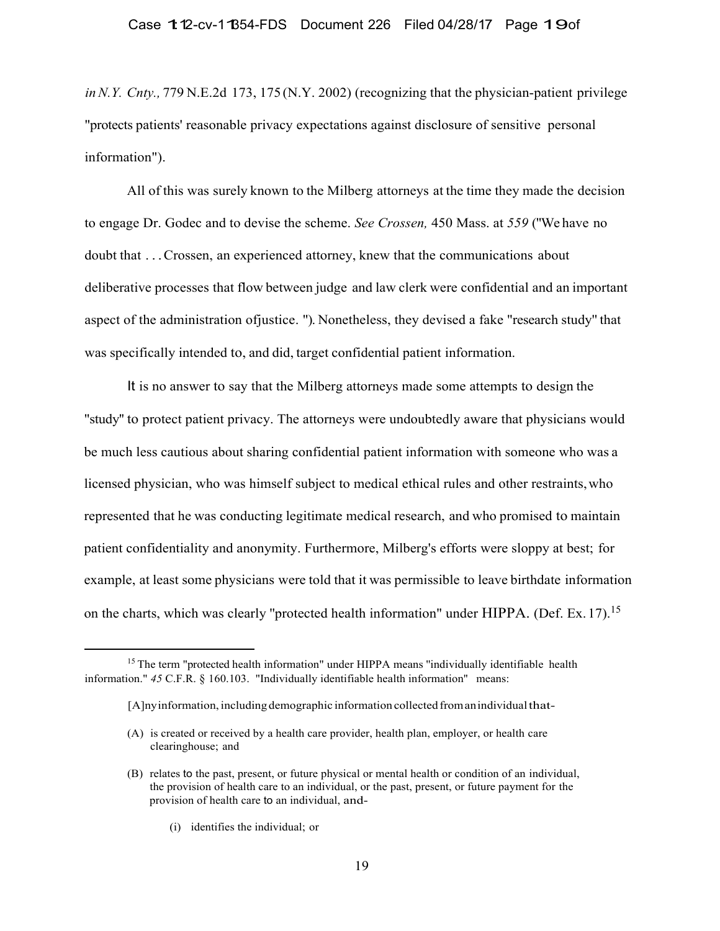*in N.Y. Cnty.,* 779 N.E.2d 173, 175 (N.Y. 2002) (recognizing that the physician-patient privilege "protects patients' reasonable privacy expectations against disclosure of sensitive personal information").

All of this was surely known to the Milberg attorneys at the time they made the decision to engage Dr. Godec and to devise the scheme. *See Crossen,* 450 Mass. at *559* ("We have no doubt that . . . Crossen, an experienced attorney, knew that the communications about deliberative processes that flow between judge and law clerk were confidential and an important aspect of the administration ofjustice. "). Nonetheless, they devised a fake "research study'' that was specifically intended to, and did, target confidential patient information.

It is no answer to say that the Milberg attorneys made some attempts to design the "study'' to protect patient privacy. The attorneys were undoubtedly aware that physicians would be much less cautious about sharing confidential patient information with someone who was a licensed physician, who was himself subject to medical ethical rules and other restraints, who represented that he was conducting legitimate medical research, and who promised to maintain patient confidentiality and anonymity. Furthermore, Milberg's efforts were sloppy at best; for example, at least some physicians were told that it was permissible to leave birthdate information on the charts, which was clearly "protected health information" under HIPPA. (Def. Ex. 17).<sup>15</sup>

(i) identifies the individual; or

<sup>&</sup>lt;sup>15</sup> The term "protected health information" under HIPPA means "individually identifiable health information." *45* C.F.R. § 160.103. "Individually identifiable health information'' means:

<sup>[</sup>A]ny information, including demographic information collected from an individual that-

<sup>(</sup>A) is created or received by a health care provider, health plan, employer, or health care clearinghouse; and

<sup>(</sup>B) relates to the past, present, or future physical or mental health or condition of an individual, the provision of health care to an individual, or the past, present, or future payment for the provision of health care to an individual, and-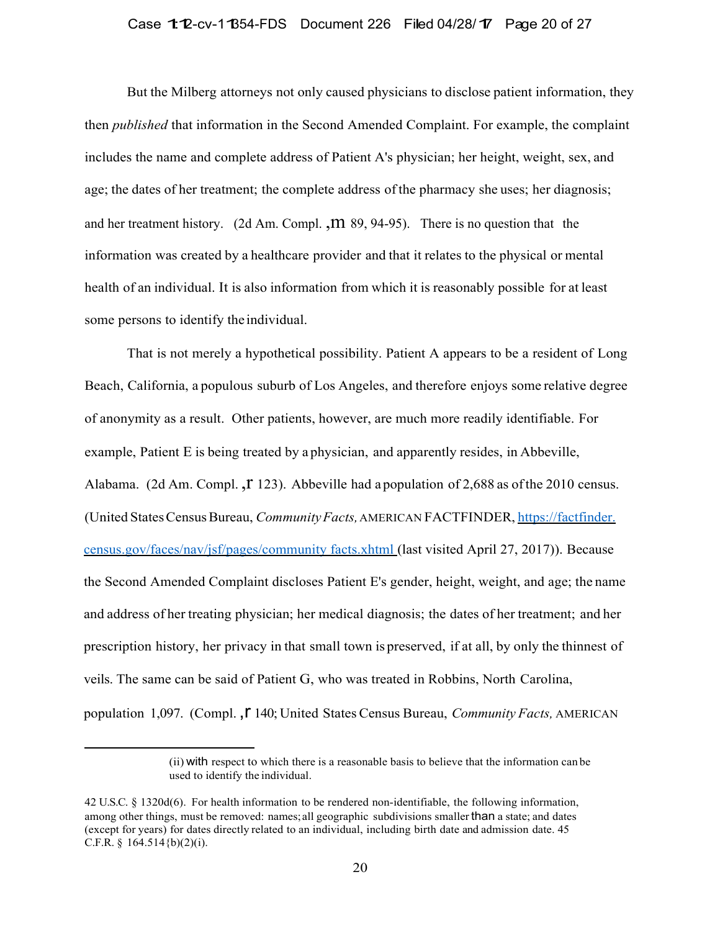## Case 1:12-cv-11354-FDS Document 226 Filed 04/28/17 Page 20 of 27

But the Milberg attorneys not only caused physicians to disclose patient information, they then *published* that information in the Second Amended Complaint. For example, the complaint includes the name and complete address of Patient A's physician; her height, weight, sex, and age; the dates of her treatment; the complete address of the pharmacy she uses; her diagnosis; and her treatment history. (2d Am. Compl.  $,m$  89, 94-95). There is no question that the information was created by a healthcare provider and that it relates to the physical or mental health of an individual. It is also information from which it is reasonably possible for at least some persons to identify the individual.

That is not merely a hypothetical possibility. Patient A appears to be a resident of Long Beach, California, a populous suburb of Los Angeles, and therefore enjoys some relative degree of anonymity as a result. Other patients, however, are much more readily identifiable. For example, Patient E is being treated by a physician, and apparently resides, in Abbeville, Alabama. (2d Am. Compl.,  $\Gamma$  123). Abbeville had a population of 2,688 as of the 2010 census. (United States Census Bureau, *Community Facts,* AMERICAN FACTFINDER, https://factfinder. census.gov/faces/nav/jsf/pages/community facts.xhtml (last visited April 27, 2017)). Because the Second Amended Complaint discloses Patient E's gender, height, weight, and age; the name and address of her treating physician; her medical diagnosis; the dates of her treatment; and her prescription history, her privacy in that small town is preserved, if at all, by only the thinnest of veils. The same can be said of Patient G, who was treated in Robbins, North Carolina, population 1,097. (Compl., **F** 140; United States Census Bureau, *Community Facts*, AMERICAN

<sup>(</sup>ii) with respect to which there is a reasonable basis to believe that the information can be used to identify the individual.

<sup>42</sup> U.S.C. § 1320d(6). For health information to be rendered non-identifiable, the following information, among other things, must be removed: names; all geographic subdivisions smaller than a state; and dates (except for years) for dates directly related to an individual, including birth date and admission date. 45 C.F.R. §  $164.514$ {b)(2)(i).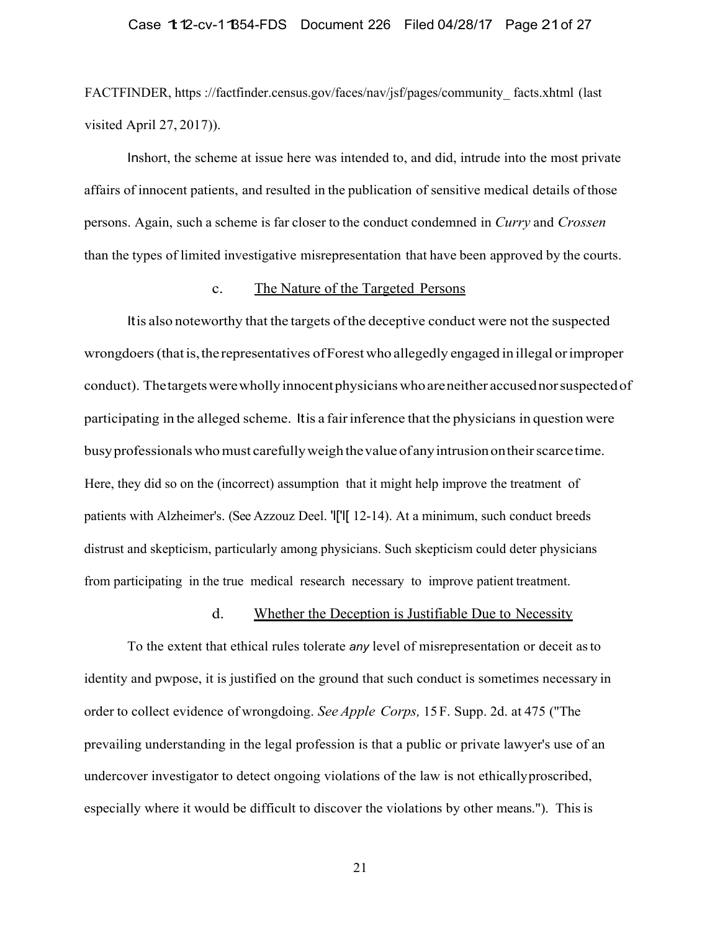# Case 1:12-cv-11354-FDS Document 226 Filed 04/28/17 Page 21 of 27

FACTFINDER, https ://factfinder.census.gov/faces/nav/jsf/pages/community\_ facts.xhtml (last visited April 27, 2017)).

Inshort, the scheme at issue here was intended to, and did, intrude into the most private affairs of innocent patients, and resulted in the publication of sensitive medical details of those persons. Again, such a scheme is far closer to the conduct condemned in *Curry* and *Crossen* than the types of limited investigative misrepresentation that have been approved by the courts.

#### c. The Nature of the Targeted Persons

It is also noteworthy that the targets of the deceptive conduct were not the suspected wrongdoers (that is, the representatives of Forest who allegedly engaged in illegal or improper conduct). The targets were wholly innocent physicians who are neither accused nor suspected of participating in the alleged scheme. It is a fair inference that the physicians in question were busy professionals who must carefully weigh the value of any intrusion on their scarce time. Here, they did so on the (incorrect) assumption that it might help improve the treatment of patients with Alzheimer's. (See Azzouz Deel. 'l['l[ 12-14). At a minimum, such conduct breeds distrust and skepticism, particularly among physicians. Such skepticism could deter physicians from participating in the true medical research necessary to improve patient treatment.

# d. Whether the Deception is Justifiable Due to Necessity

To the extent that ethical rules tolerate *any* level of misrepresentation or deceit as to identity and pwpose, it is justified on the ground that such conduct is sometimes necessary in order to collect evidence of wrongdoing. *See Apple Corps,* 15 F. Supp. 2d. at 475 ("The prevailing understanding in the legal profession is that a public or private lawyer's use of an undercover investigator to detect ongoing violations of the law is not ethically proscribed, especially where it would be difficult to discover the violations by other means."). This is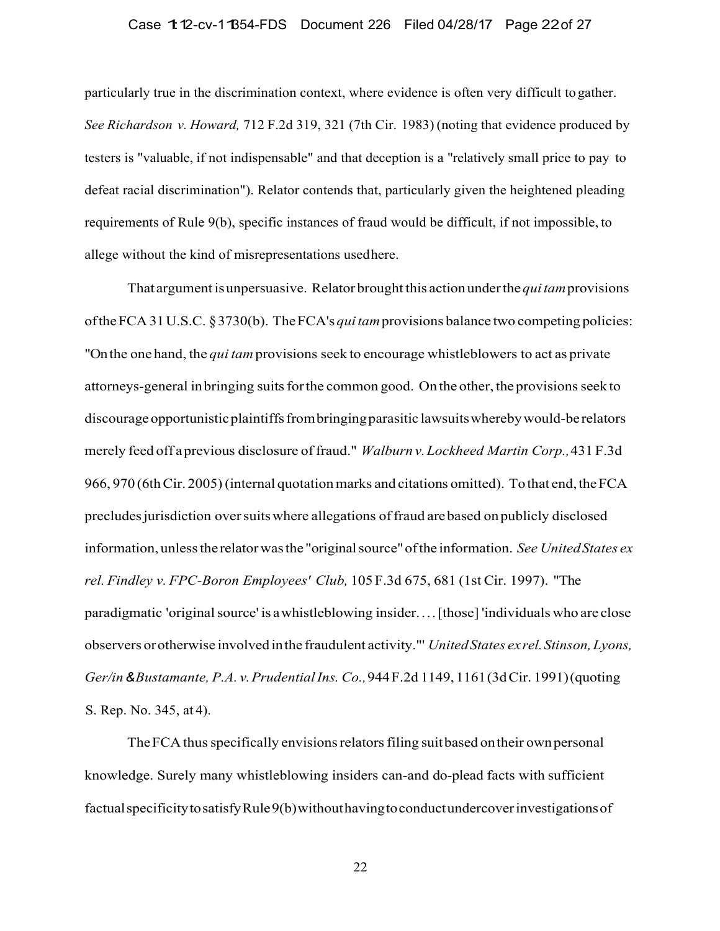# Case 1:12-cv-11354-FDS Document 226 Filed 04/28/17 Page 22 of 27

particularly true in the discrimination context, where evidence is often very difficult to gather. *See Richardson v. Howard,* 712 F.2d 319, 321 (7th Cir. 1983) (noting that evidence produced by testers is "valuable, if not indispensable" and that deception is a "relatively small price to pay to defeat racial discrimination"). Relator contends that, particularly given the heightened pleading requirements of Rule 9(b), specific instances of fraud would be difficult, if not impossible, to allege without the kind of misrepresentations used here.

That argument is unpersuasive. Relator brought this action under the *qui tam* provisions of the FCA 31 U.S.C. § 3730(b). The FCA's *qui tam* provisions balance two competing policies: "On the one hand, the *qui tam* provisions seek to encourage whistleblowers to act as private attorneys-general in bringing suits for the common good. On the other, the provisions seek to discourage opportunistic plaintiffs from bringing parasitic lawsuits whereby would-be relators merely feed off a previous disclosure of fraud." *Walburn v. Lockheed Martin Corp.,* 431 F.3d 966, 970 (6th Cir. 2005) (internal quotation marks and citations omitted). To that end, the FCA precludes jurisdiction over suits where allegations of fraud are based on publicly disclosed information, unless the relator was the "original source" of the information. *See United States ex rel. Findley v. FPC-Boron Employees' Club,* 105 F.3d 675, 681 (1st Cir. 1997). "The paradigmatic 'original source' is a whistleblowing insider. . . . [those] 'individuals who are close observers or otherwise involved in the fraudulent activity."' *United States ex rel. Stinson, Lyons, Ger/in & Bustamante, P.A. v. Prudential Ins. Co.,* 944 F.2d 1149, 1161 (3d Cir. 1991) (quoting S. Rep. No. 345, at 4).

The FCA thus specifically envisions relators filing suit based on their own personal knowledge. Surely many whistleblowing insiders can-and do-plead facts with sufficient factual specificity to satisfy Rule 9(b) without having to conduct undercover investigations of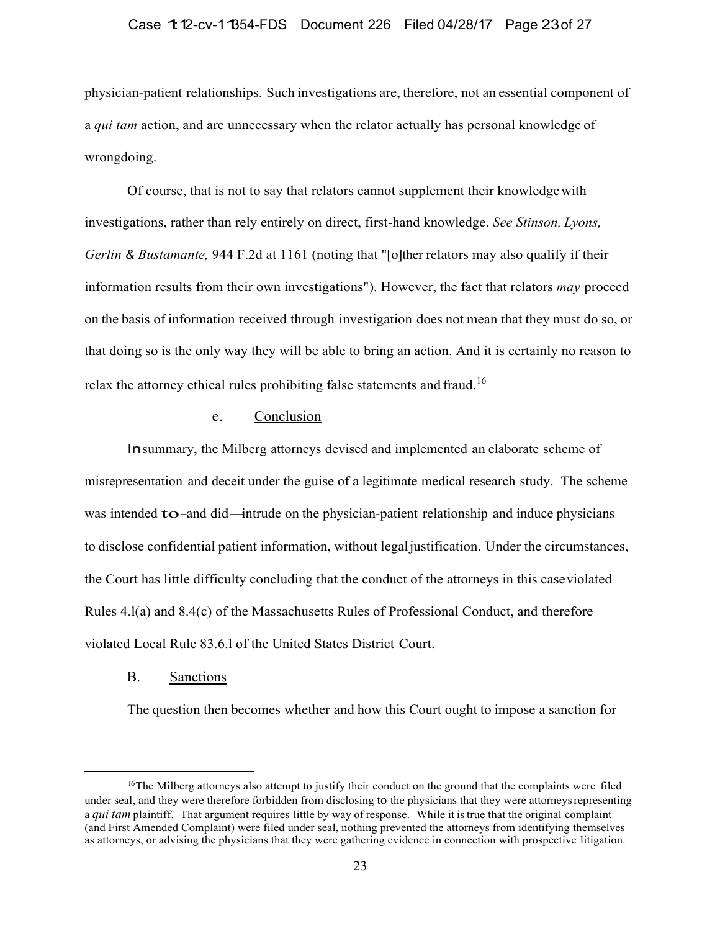### Case 1:12-cv-11354-FDS Document 226 Filed 04/28/17 Page 23 of 27

physician-patient relationships. Such investigations are, therefore, not an essential component of a *qui tam* action, and are unnecessary when the relator actually has personal knowledge of wrongdoing.

Of course, that is not to say that relators cannot supplement their knowledge with investigations, rather than rely entirely on direct, first-hand knowledge. *See Stinson, Lyons, Gerlin & Bustamante,* 944 F.2d at 1161 (noting that "[o]ther relators may also qualify if their information results from their own investigations"). However, the fact that relators *may* proceed on the basis of information received through investigation does not mean that they must do so, or that doing so is the only way they will be able to bring an action. And it is certainly no reason to relax the attorney ethical rules prohibiting false statements and fraud.<sup>16</sup>

# e. Conclusion

Insummary, the Milberg attorneys devised and implemented an elaborate scheme of misrepresentation and deceit under the guise of a legitimate medical research study. The scheme was intended to-and did—intrude on the physician-patient relationship and induce physicians to disclose confidential patient information, without legal justification. Under the circumstances, the Court has little difficulty concluding that the conduct of the attorneys in this case violated Rules 4.l(a) and 8.4(c) of the Massachusetts Rules of Professional Conduct, and therefore violated Local Rule 83.6.l of the United States District Court.

## B. Sanctions

The question then becomes whether and how this Court ought to impose a sanction for

<sup>&</sup>lt;sup>16</sup>The Milberg attorneys also attempt to justify their conduct on the ground that the complaints were filed under seal, and they were therefore forbidden from disclosing to the physicians that they were attorneys representing a *qui tam* plaintiff. That argument requires little by way of response. While it is true that the original complaint (and First Amended Complaint) were filed under seal, nothing prevented the attorneys from identifying themselves as attorneys, or advising the physicians that they were gathering evidence in connection with prospective litigation.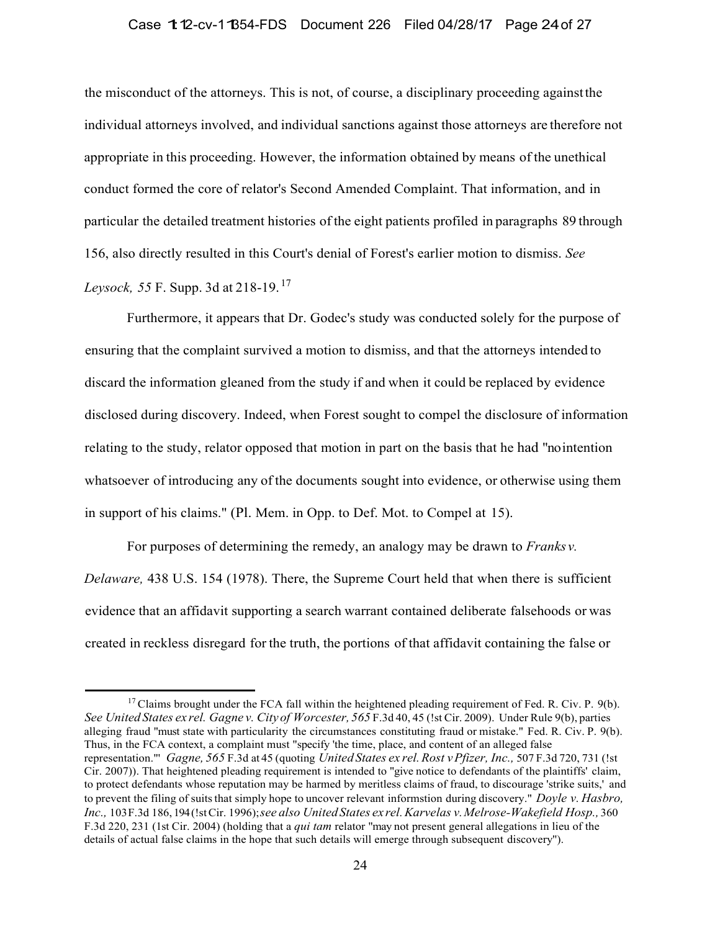### Case 1:12-cv-11354-FDS Document 226 Filed 04/28/17 Page 24 of 27

the misconduct of the attorneys. This is not, of course, a disciplinary proceeding against the individual attorneys involved, and individual sanctions against those attorneys are therefore not appropriate in this proceeding. However, the information obtained by means of the unethical conduct formed the core of relator's Second Amended Complaint. That information, and in particular the detailed treatment histories of the eight patients profiled in paragraphs 89 through 156, also directly resulted in this Court's denial of Forest's earlier motion to dismiss. *See Leysock, 55* F. Supp. 3d at 218-19. 17

Furthermore, it appears that Dr. Godec's study was conducted solely for the purpose of ensuring that the complaint survived a motion to dismiss, and that the attorneys intended to discard the information gleaned from the study if and when it could be replaced by evidence disclosed during discovery. Indeed, when Forest sought to compel the disclosure of information relating to the study, relator opposed that motion in part on the basis that he had "no intention whatsoever of introducing any of the documents sought into evidence, or otherwise using them in support of his claims." (Pl. Mem. in Opp. to Def. Mot. to Compel at 15).

For purposes of determining the remedy, an analogy may be drawn to *Franks v. Delaware,* 438 U.S. 154 (1978). There, the Supreme Court held that when there is sufficient evidence that an affidavit supporting a search warrant contained deliberate falsehoods or was created in reckless disregard for the truth, the portions of that affidavit containing the false or

 $17$  Claims brought under the FCA fall within the heightened pleading requirement of Fed. R. Civ. P. 9(b). *See United States ex rel. Gagne v. City of Worcester, 565 F.3d 40, 45 (!st Cir. 2009). Under Rule 9(b), parties* alleging fraud "must state with particularity the circumstances constituting fraud or mistake." Fed. R. Civ. P. 9(b). Thus, in the FCA context, a complaint must "specify 'the time, place, and content of an alleged false representation."' *Gagne, 565* F.3d at 45 (quoting *United States ex rel. Rost v Pfizer, Inc.,* 507 F.3d 720, 731 (!st Cir. 2007)). That heightened pleading requirement is intended to "give notice to defendants of the plaintiffs' claim, to protect defendants whose reputation may be harmed by meritless claims of fraud, to discourage 'strike suits,' and to prevent the filing of suits that simply hope to uncover relevant informstion during discovery." *Doyle v. Hasbro, Inc.,* 103 F.3d 186, 194 (!st Cir. 1996); *see also United States ex rel. Karvelas v. Melrose-Wakefield Hosp.,* 360 F.3d 220, 231 (1st Cir. 2004) (holding that a *qui tam* relator "may not present general allegations in lieu of the details of actual false claims in the hope that such details will emerge through subsequent discovery'').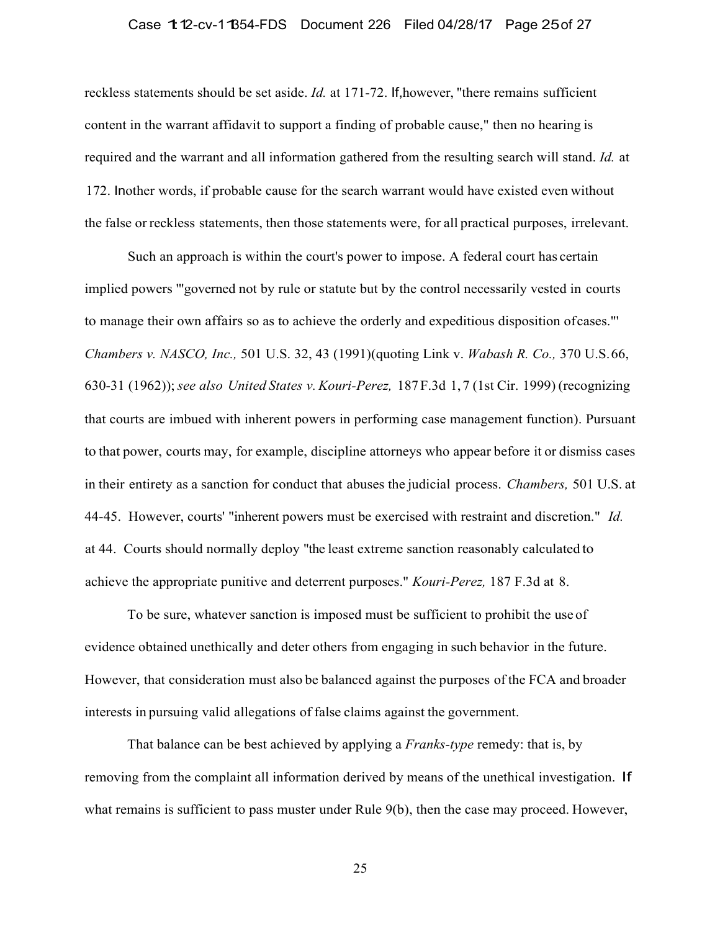## Case 1:12-cv-11354-FDS Document 226 Filed 04/28/17 Page 25 of 27

reckless statements should be set aside. *Id.* at 171-72. If,however, ''there remains sufficient content in the warrant affidavit to support a finding of probable cause," then no hearing is required and the warrant and all information gathered from the resulting search will stand. *Id.* at 172. Inother words, if probable cause for the search warrant would have existed even without the false or reckless statements, then those statements were, for all practical purposes, irrelevant.

Such an approach is within the court's power to impose. A federal court has certain implied powers '"governed not by rule or statute but by the control necessarily vested in courts to manage their own affairs so as to achieve the orderly and expeditious disposition of cases."' *Chambers v. NASCO, Inc.,* 501 U.S. 32, 43 (1991)(quoting Link v. *Wabash R. Co.,* 370 U.S. 66, 630-31 (1962)); *see also United States v. Kouri-Perez,* 187 F.3d 1, 7 (1st Cir. 1999) (recognizing that courts are imbued with inherent powers in performing case management function). Pursuant to that power, courts may, for example, discipline attorneys who appear before it or dismiss cases in their entirety as a sanction for conduct that abuses the judicial process. *Chambers,* 501 U.S. at 44-45. However, courts' "inherent powers must be exercised with restraint and discretion." *Id.* at 44. Courts should normally deploy "the least extreme sanction reasonably calculated to achieve the appropriate punitive and deterrent purposes." *Kouri-Perez,* 187 F.3d at 8.

To be sure, whatever sanction is imposed must be sufficient to prohibit the use of evidence obtained unethically and deter others from engaging in such behavior in the future. However, that consideration must also be balanced against the purposes of the FCA and broader interests in pursuing valid allegations of false claims against the government.

That balance can be best achieved by applying a *Franks-type* remedy: that is, by removing from the complaint all information derived by means of the unethical investigation. If what remains is sufficient to pass muster under Rule 9(b), then the case may proceed. However,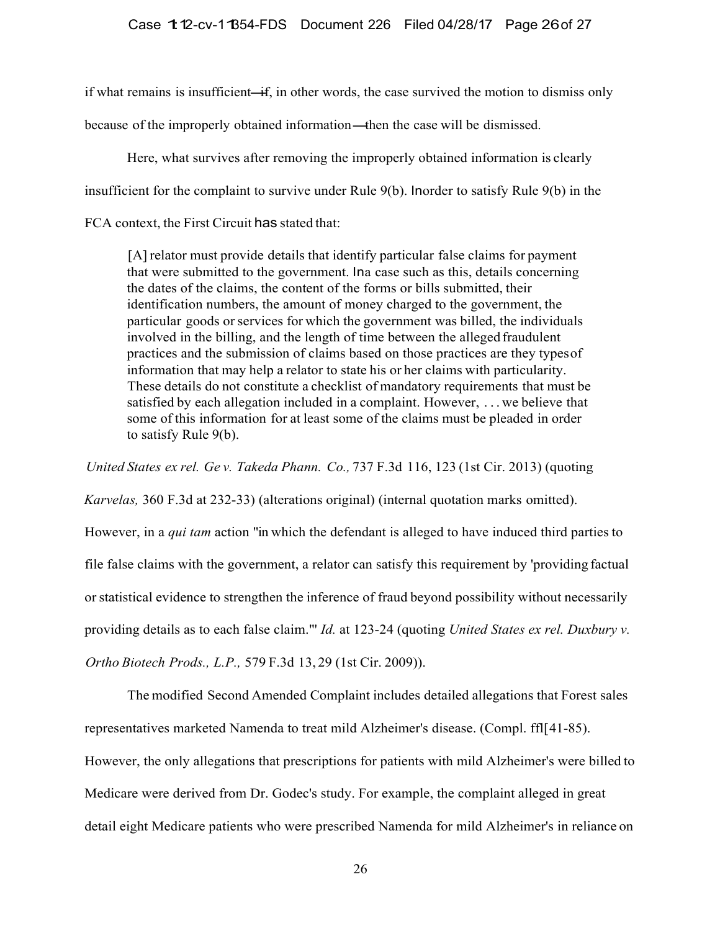if what remains is insufficient—if, in other words, the case survived the motion to dismiss only if what remains is insufficient—if, in other words, the case survived the motion to<br>because of the improperly obtained information—then the case will be dismissed.

Here, what survives after removing the improperly obtained information is clearly insufficient for the complaint to survive under Rule 9(b). Inorder to satisfy Rule 9(b) in the FCA context, the First Circuit has stated that:

[A] relator must provide details that identify particular false claims for payment that were submitted to the government. Ina case such as this, details concerning the dates of the claims, the content of the forms or bills submitted, their identification numbers, the amount of money charged to the government, the particular goods or services for which the government was billed, the individuals involved in the billing, and the length of time between the alleged fraudulent practices and the submission of claims based on those practices are they types of information that may help a relator to state his or her claims with particularity. These details do not constitute a checklist of mandatory requirements that must be satisfied by each allegation included in a complaint. However, . . . we believe that some of this information for at least some of the claims must be pleaded in order to satisfy Rule 9(b).

*United States ex rel. Ge v. Takeda Phann. Co.,* 737 F.3d 116, 123 (1st Cir. 2013) (quoting

*Karvelas,* 360 F.3d at 232-33) (alterations original) (internal quotation marks omitted). However, in a *qui tam* action "in which the defendant is alleged to have induced third parties to file false claims with the government, a relator can satisfy this requirement by 'providing factual or statistical evidence to strengthen the inference of fraud beyond possibility without necessarily providing details as to each false claim."' *Id.* at 123-24 (quoting *United States ex rel. Duxbury v. Ortho Biotech Prods., L.P.,* 579 F.3d 13, 29 (1st Cir. 2009)).

The modified Second Amended Complaint includes detailed allegations that Forest sales representatives marketed Namenda to treat mild Alzheimer's disease. (Compl. ffl[ 41-85). However, the only allegations that prescriptions for patients with mild Alzheimer's were billed to Medicare were derived from Dr. Godec's study. For example, the complaint alleged in great detail eight Medicare patients who were prescribed Namenda for mild Alzheimer's in reliance on